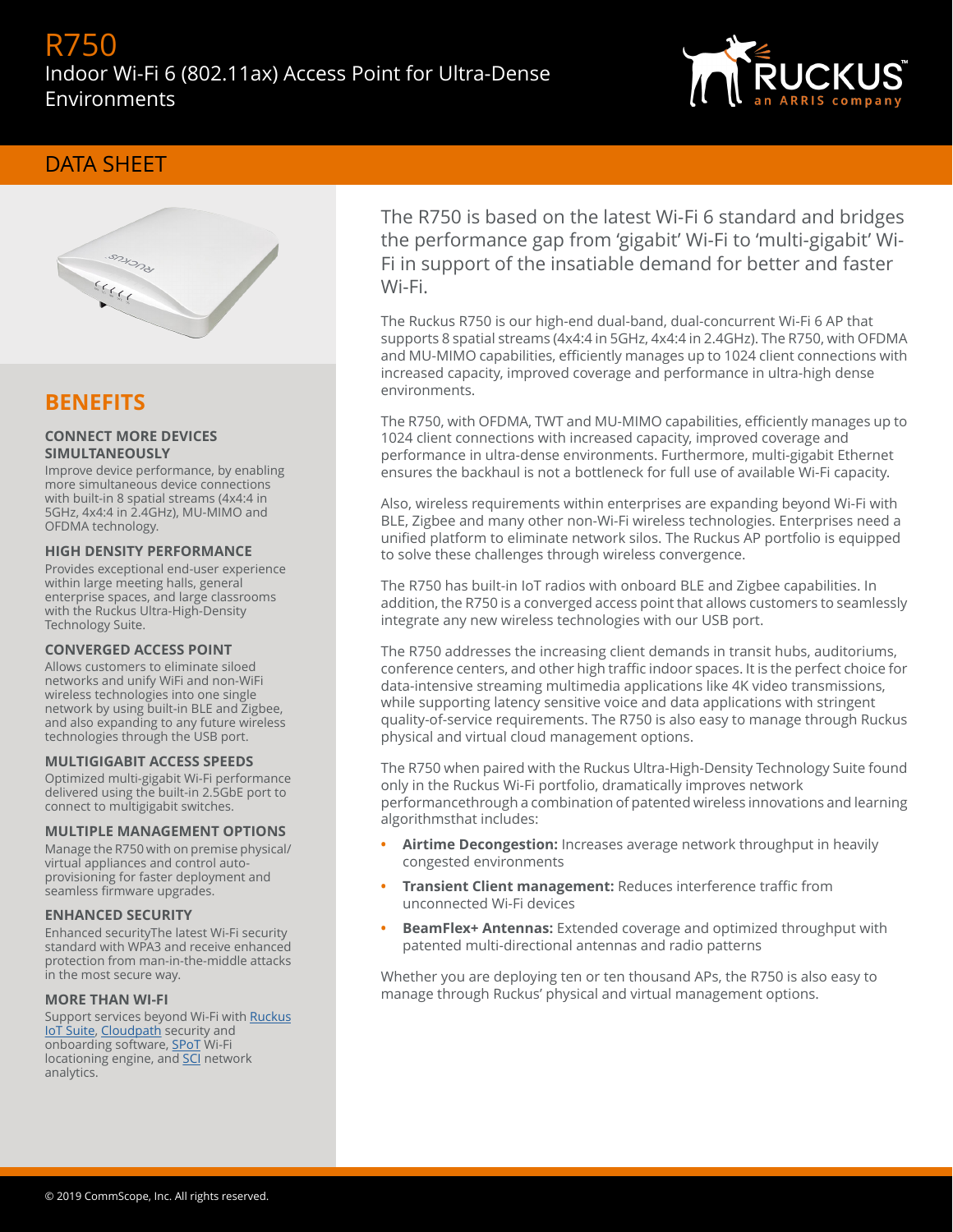# R750 Indoor Wi-Fi 6 (802.11ax) Access Point for Ultra-Dense Environments



## DATA SHEET



## **BENEFITS**

### **CONNECT MORE DEVICES SIMULTANEOUSLY**

Improve device performance, by enabling more simultaneous device connections with built-in 8 spatial streams (4x4:4 in 5GHz, 4x4:4 in 2.4GHz), MU-MIMO and OFDMA technology.

### **HIGH DENSITY PERFORMANCE**

Provides exceptional end-user experience within large meeting halls, general enterprise spaces, and large classrooms with the Ruckus Ultra-High-Density Technology Suite.

#### **CONVERGED ACCESS POINT**

Allows customers to eliminate siloed networks and unify WiFi and non-WiFi wireless technologies into one single network by using built-in BLE and Zigbee, and also expanding to any future wireless technologies through the USB port.

#### **MULTIGIGABIT ACCESS SPEEDS**

Optimized multi-gigabit Wi-Fi performance delivered using the built-in 2.5GbE port to connect to multigigabit switches.

#### **MULTIPLE MANAGEMENT OPTIONS**

Manage the R750 with on premise physical/ virtual appliances and control autoprovisioning for faster deployment and seamless firmware upgrades.

#### **ENHANCED SECURITY**

Enhanced securityThe latest Wi-Fi security standard with WPA3 and receive enhanced protection from man-in-the-middle attacks in the most secure way.

#### **MORE THAN WI-FI**

Support services beyond Wi-Fi with [Ruckus](https://www.ruckuswireless.com/products/iot) [IoT Suite](https://www.ruckuswireless.com/products/iot), [Cloudpath](https://www.ruckuswireless.com/products/smart-wireless-services/cloudpath) security and onboarding software, [SPoT](https://www.ruckuswireless.com/products/smart-wireless-services/location-services) Wi-Fi locationing engine, and [SCI](https://www.ruckuswireless.com/products/smart-wireless-services/analytics) network analytics.

The R750 is based on the latest Wi-Fi 6 standard and bridges the performance gap from 'gigabit' Wi-Fi to 'multi-gigabit' Wi-Fi in support of the insatiable demand for better and faster Wi-Fi.

The Ruckus R750 is our high-end dual-band, dual-concurrent Wi-Fi 6 AP that supports 8 spatial streams (4x4:4 in 5GHz, 4x4:4 in 2.4GHz). The R750, with OFDMA and MU-MIMO capabilities, efficiently manages up to 1024 client connections with increased capacity, improved coverage and performance in ultra-high dense environments.

The R750, with OFDMA, TWT and MU-MIMO capabilities, efficiently manages up to 1024 client connections with increased capacity, improved coverage and performance in ultra-dense environments. Furthermore, multi-gigabit Ethernet ensures the backhaul is not a bottleneck for full use of available Wi-Fi capacity.

Also, wireless requirements within enterprises are expanding beyond Wi-Fi with BLE, Zigbee and many other non-Wi-Fi wireless technologies. Enterprises need a unified platform to eliminate network silos. The Ruckus AP portfolio is equipped to solve these challenges through wireless convergence.

The R750 has built-in IoT radios with onboard BLE and Zigbee capabilities. In addition, the R750 is a converged access point that allows customers to seamlessly integrate any new wireless technologies with our USB port.

The R750 addresses the increasing client demands in transit hubs, auditoriums, conference centers, and other high traffic indoor spaces. It is the perfect choice for data-intensive streaming multimedia applications like 4K video transmissions, while supporting latency sensitive voice and data applications with stringent quality-of-service requirements. The R750 is also easy to manage through Ruckus physical and virtual cloud management options.

The R750 when paired with the Ruckus Ultra-High-Density Technology Suite found only in the Ruckus Wi-Fi portfolio, dramatically improves network performancethrough a combination of patented wireless innovations and learning algorithmsthat includes:

- **• Airtime Decongestion:** Increases average network throughput in heavily congested environments
- **Fransient Client management:** Reduces interference traffic from unconnected Wi-Fi devices
- **• BeamFlex+ Antennas:** Extended coverage and optimized throughput with patented multi-directional antennas and radio patterns

Whether you are deploying ten or ten thousand APs, the R750 is also easy to manage through Ruckus' physical and virtual management options.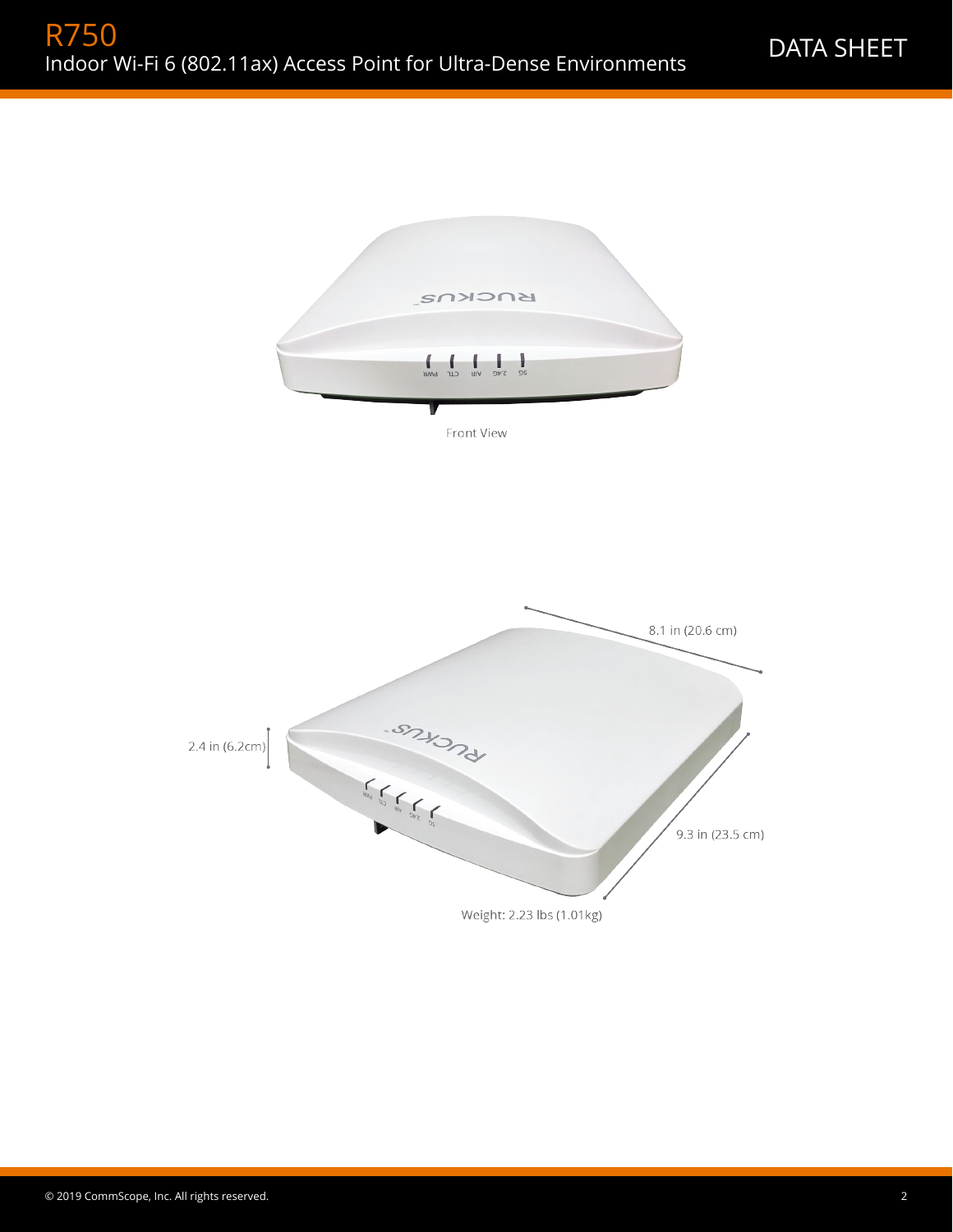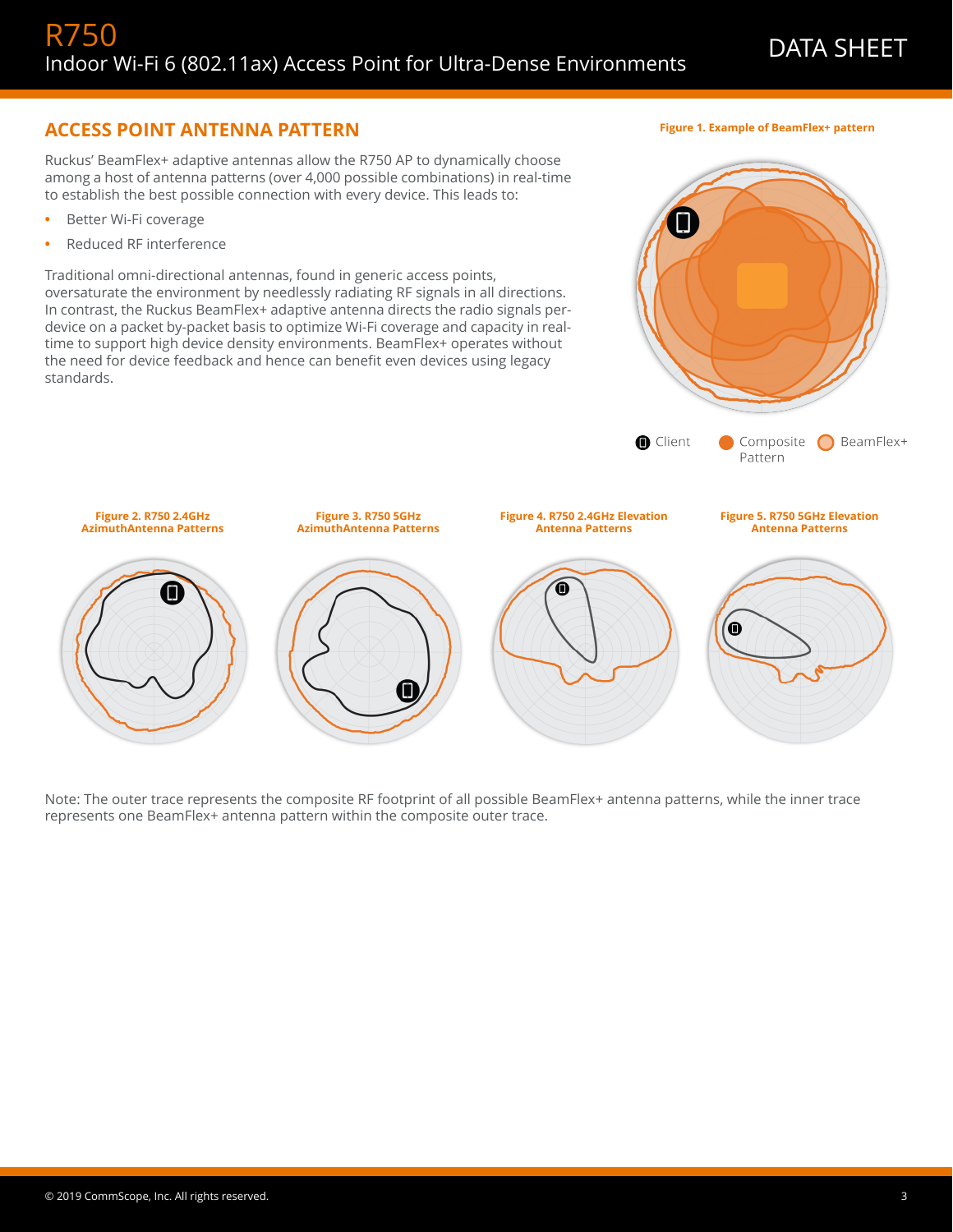**Figure 1. Example of BeamFlex+ pattern**

 $\Box$ 

## **ACCESS POINT ANTENNA PATTERN**

Ruckus' BeamFlex+ adaptive antennas allow the R750 AP to dynamically choose among a host of antenna patterns (over 4,000 possible combinations) in real-time to establish the best possible connection with every device. This leads to:

- **•** Better Wi-Fi coverage
- **•** Reduced RF interference

Traditional omni-directional antennas, found in generic access points, oversaturate the environment by needlessly radiating RF signals in all directions. In contrast, the Ruckus BeamFlex+ adaptive antenna directs the radio signals perdevice on a packet by-packet basis to optimize Wi-Fi coverage and capacity in realtime to support high device density environments. BeamFlex+ operates without the need for device feedback and hence can benefit even devices using legacy standards.



Note: The outer trace represents the composite RF footprint of all possible BeamFlex+ antenna patterns, while the inner trace represents one BeamFlex+ antenna pattern within the composite outer trace.

© 2019 CommScope, Inc. All rights reserved. 3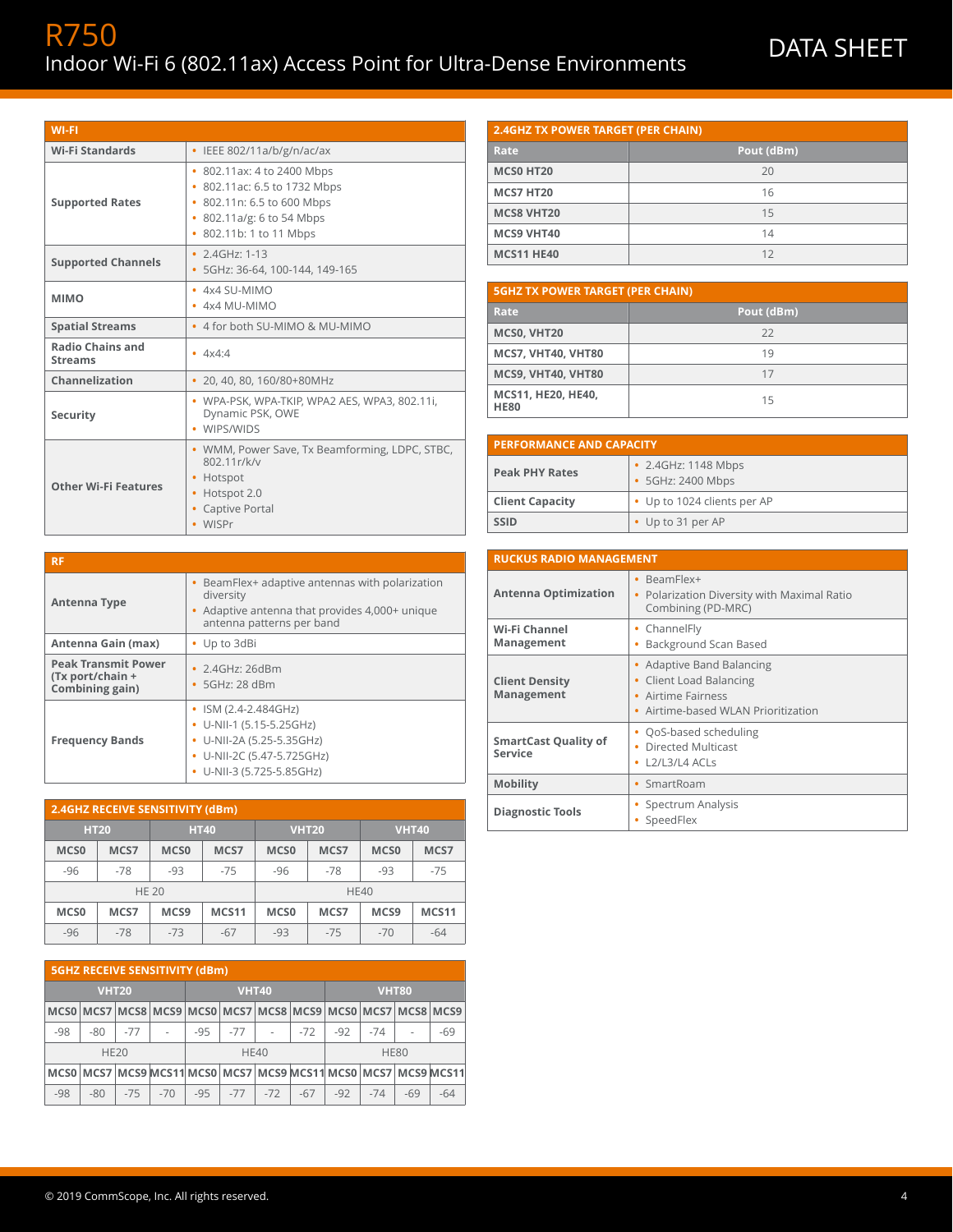| <b>WI-FI</b>                              |                                                                                                                                                         |
|-------------------------------------------|---------------------------------------------------------------------------------------------------------------------------------------------------------|
| <b>Wi-Fi Standards</b>                    | IEEE 802/11a/b/g/n/ac/ax<br>$\bullet$                                                                                                                   |
| <b>Supported Rates</b>                    | 802.11ax: 4 to 2400 Mbps<br>٠<br>802.11ac: 6.5 to 1732 Mbps<br>• 802.11n: 6.5 to 600 Mbps<br>802.11a/g: 6 to 54 Mbps<br>٠<br>802.11b: 1 to 11 Mbps<br>۰ |
| <b>Supported Channels</b>                 | • $2.4$ GHz: 1-13<br>5GHz: 36-64, 100-144, 149-165                                                                                                      |
| <b>MIMO</b>                               | $-4x4$ SU-MIMO<br>$\cdot$ 4x4 MU-MIMO                                                                                                                   |
| <b>Spatial Streams</b>                    | 4 for both SU-MIMO & MU-MIMO<br>$\bullet$                                                                                                               |
| <b>Radio Chains and</b><br><b>Streams</b> | $-4x4.4$                                                                                                                                                |
| Channelization                            | 20, 40, 80, 160/80+80MHz<br>٠                                                                                                                           |
| Security                                  | • WPA-PSK, WPA-TKIP, WPA2 AES, WPA3, 802.11i,<br>Dynamic PSK, OWE<br>WIPS/WIDS                                                                          |
| <b>Other Wi-Fi Features</b>               | • WMM, Power Save, Tx Beamforming, LDPC, STBC,<br>802.11r/k/v<br>Hotspot<br>Hotspot 2.0<br>٠<br>Captive Portal<br>WISPr<br>٠                            |

| <b>2.4GHZ TX POWER TARGET (PER CHAIN)</b> |            |  |  |
|-------------------------------------------|------------|--|--|
| Rate                                      | Pout (dBm) |  |  |
| MCS0 HT20                                 | 20         |  |  |
| <b>MCS7 HT20</b>                          | 16         |  |  |
| <b>MCS8 VHT20</b>                         | 15         |  |  |
| <b>MCS9 VHT40</b>                         | 14         |  |  |
| <b>MCS11 HE40</b>                         | 12         |  |  |

| <b>5GHZ TX POWER TARGET (PER CHAIN)</b> |            |  |
|-----------------------------------------|------------|--|
| Rate                                    | Pout (dBm) |  |
| MCSO, VHT20                             | 22         |  |
| <b>MCS7, VHT40, VHT80</b>               | 19         |  |
| MCS9, VHT40, VHT80                      | 17         |  |
| MCS11, HE20, HE40,<br><b>HE80</b>       | 15         |  |

| <b>PERFORMANCE AND CAPACITY</b> |                                          |  |
|---------------------------------|------------------------------------------|--|
| <b>Peak PHY Rates</b>           | • 2.4GHz: 1148 Mbps<br>• 5GHz: 2400 Mbps |  |
| <b>Client Capacity</b>          | • Up to 1024 clients per AP              |  |
| <b>SSID</b>                     | • Up to 31 per AP                        |  |

| <b>RUCKUS RADIO MANAGEMENT</b>         |                                                                                                                                |  |  |
|----------------------------------------|--------------------------------------------------------------------------------------------------------------------------------|--|--|
| <b>Antenna Optimization</b>            | • BeamFlex+<br>Polarization Diversity with Maximal Ratio<br>٠<br>Combining (PD-MRC)                                            |  |  |
| Wi-Fi Channel<br>Management            | • ChannelFly<br>Background Scan Based<br>۰                                                                                     |  |  |
| <b>Client Density</b><br>Management    | • Adaptive Band Balancing<br><b>Client Load Balancing</b><br>٠<br><b>Airtime Fairness</b><br>Airtime-based WLAN Prioritization |  |  |
| <b>SmartCast Quality of</b><br>Service | • QoS-based scheduling<br>Directed Multicast<br>٠<br>$L2/L3/L4$ ACLs<br>٠                                                      |  |  |
| <b>Mobility</b>                        | SmartRoam<br>٠                                                                                                                 |  |  |
| <b>Diagnostic Tools</b>                | Spectrum Analysis<br>SpeedFlex                                                                                                 |  |  |

| <b>RF</b>                                                         |                                                                                                                                                            |
|-------------------------------------------------------------------|------------------------------------------------------------------------------------------------------------------------------------------------------------|
| Antenna Type                                                      | BeamFlex+ adaptive antennas with polarization<br>diversity<br>Adaptive antenna that provides 4,000+ unique<br>antenna patterns per band                    |
| Antenna Gain (max)                                                | • Up to 3dBi                                                                                                                                               |
| <b>Peak Transmit Power</b><br>(Tx port/chain +<br>Combining gain) | $\cdot$ 2.4GHz: 26dBm<br>$\cdot$ 5GHz: 28 dBm                                                                                                              |
| <b>Frequency Bands</b>                                            | • ISM $(2.4 - 2.484 \text{GHz})$<br>• U-NII-1 $(5.15 - 5.25$ GHz)<br>U-NII-2A (5.25-5.35GHz)<br>۰<br>• U-NII-2C (5.47-5.725GHz)<br>U-NII-3 (5.725-5.85GHz) |

| 2.4GHZ RECEIVE SENSITIVITY (dBm) |              |                  |       |                  |              |                  |              |
|----------------------------------|--------------|------------------|-------|------------------|--------------|------------------|--------------|
|                                  | <b>HT20</b>  | <b>HT40</b>      |       |                  | <b>VHT20</b> |                  | <b>VHT40</b> |
| MCS <sub>0</sub>                 | MCS7         | MCS <sub>0</sub> | MCS7  | MCS <sub>0</sub> | MCS7         | MCS <sub>0</sub> | MCS7         |
| $-96$                            | $-78$        | $-93$            | $-75$ | $-96$            | $-78$        | $-93$            | $-75$        |
|                                  | <b>HE 20</b> |                  |       |                  |              | <b>HE40</b>      |              |
| MCS <sub>0</sub>                 | MCS7         | MCS <sub>9</sub> | MCS11 | MCS <sub>0</sub> | MCS7         | MCS <sub>9</sub> | MCS11        |
| $-96$                            | $-78$        | $-73$            | $-67$ | $-93$            | $-75$        | $-70$            | $-64$        |

|              | <b>5GHZ RECEIVE SENSITIVITY (dBm)</b> |       |                                                                                      |       |       |              |       |       |              |       |       |
|--------------|---------------------------------------|-------|--------------------------------------------------------------------------------------|-------|-------|--------------|-------|-------|--------------|-------|-------|
| <b>VHT20</b> |                                       |       |                                                                                      |       |       | <b>VHT40</b> |       |       | <b>VHT80</b> |       |       |
|              |                                       |       | MCS0 MCS7 MCS8 MCS9 MCS0 MCS7 MCS7 MCS8 MCS9 MCS0 MCS7 MCS8 MCS9                     |       |       |              |       |       |              |       |       |
| $-98$        | $-80$                                 | $-77$ |                                                                                      | $-95$ | $-77$ | ٠            | -72   | $-92$ | $-74$        | ٠     | $-69$ |
| <b>HE20</b>  |                                       |       |                                                                                      |       |       | <b>HE40</b>  |       |       | <b>HE80</b>  |       |       |
|              |                                       |       | MCS0   MCS7   MCS9   MCS11   MCS0   MCS7   MCS9   MCS11   MCS0   MCS7   MCS9   MCS11 |       |       |              |       |       |              |       |       |
| $-98$        | $-80$                                 | $-75$ | $-70$                                                                                | $-95$ | $-77$ | $-72$        | $-67$ | $-92$ | $-74$        | $-69$ | $-64$ |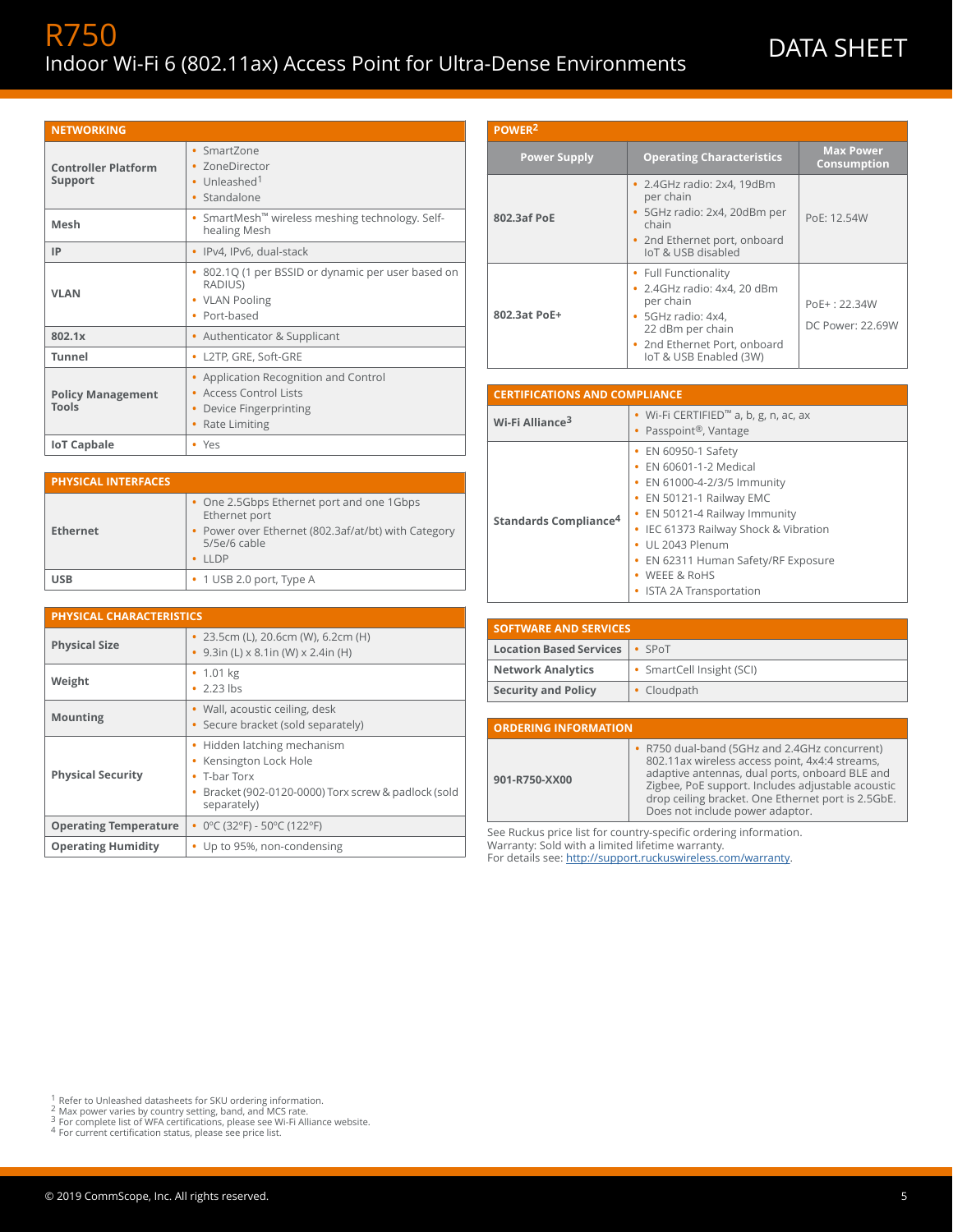# R750 INTIC<br>Indoor Wi-Fi 6 (802.11ax) Access Point for Ultra-Dense Environments DATA SHEET

| <b>NETWORKING</b>                     |                                                                                                                 |
|---------------------------------------|-----------------------------------------------------------------------------------------------------------------|
| <b>Controller Platform</b><br>Support | • SmartZone<br><b>ZoneDirector</b><br>• Unleashed <sup>1</sup><br>Standalone<br>٠                               |
| Mesh                                  | • SmartMesh <sup>™</sup> wireless meshing technology. Self-<br>healing Mesh                                     |
| IP                                    | • IPv4, IPv6, dual-stack                                                                                        |
| <b>VLAN</b>                           | 802.1Q (1 per BSSID or dynamic per user based on<br>٠<br>RADIUS)<br>• VLAN Pooling<br>Port-based<br>٠           |
| 802.1x                                | Authenticator & Supplicant<br>٠                                                                                 |
| <b>Tunnel</b>                         | • L2TP, GRE, Soft-GRE                                                                                           |
| <b>Policy Management</b><br>Tools     | Application Recognition and Control<br>Access Control Lists<br>Device Fingerprinting<br>٠<br>Rate Limiting<br>٠ |
| <b>IoT Capbale</b>                    | • Yes                                                                                                           |

Ethernet port

5/5e/6 cable **•** LLDP

**•** 9.3in (L) x 8.1in (W) x 2.4in (H)

**•** Secure bracket (sold separately)

**•** Hidden latching mechanism **•** Kensington Lock Hole

**USB •** 1 USB 2.0 port, Type A

**Physical Size •** 23.5cm (L), 20.6cm (W), 6.2cm (H)

**•** 2.23 lbs

**•** T-bar Torx

separately)

**Mounting •** Wall, acoustic ceiling, desk

**Operating Temperature •** 0ºC (32ºF) - 50ºC (122ºF) **Operating Humidity •** Up to 95%, non-condensing

**•** One 2.5Gbps Ethernet port and one 1Gbps

**•** Power over Ethernet (802.3af/at/bt) with Category

**•** Bracket (902-0120-0000) Torx screw & padlock (sold

| POWER <sup>2</sup>  |                                                                                                                                                                      |                                    |  |  |  |
|---------------------|----------------------------------------------------------------------------------------------------------------------------------------------------------------------|------------------------------------|--|--|--|
| <b>Power Supply</b> | <b>Operating Characteristics</b>                                                                                                                                     | <b>Max Power</b><br>Consumption    |  |  |  |
| 802.3af PoE         | • 2.4GHz radio: 2x4, 19dBm<br>per chain<br>• 5GHz radio: 2x4, 20dBm per<br>chain<br>• 2nd Ethernet port, onboard<br>IoT & USB disabled                               | PoE: 12.54W                        |  |  |  |
| 802.3at PoE+        | • Full Functionality<br>• 2.4GHz radio: 4x4, 20 dBm<br>per chain<br>• 5GHz radio: 4x4,<br>22 dBm per chain<br>• 2nd Ethernet Port, onboard<br>IoT & USB Enabled (3W) | $PoE + 22.34W$<br>DC Power: 22.69W |  |  |  |

| <b>CERTIFICATIONS AND COMPLIANCE</b> |                                                                                                                                                                                                                                                                                           |  |  |  |
|--------------------------------------|-------------------------------------------------------------------------------------------------------------------------------------------------------------------------------------------------------------------------------------------------------------------------------------------|--|--|--|
| Wi-Fi Alliance <sup>3</sup>          | • Wi-Fi CERTIFIED <sup>™</sup> a, b, g, n, ac, ax<br>Passpoint®, Vantage                                                                                                                                                                                                                  |  |  |  |
| Standards Compliance <sup>4</sup>    | • EN 60950-1 Safety<br>EN 60601-1-2 Medical<br>• EN 61000-4-2/3/5 Immunity<br>• EN 50121-1 Railway EMC<br>EN 50121-4 Railway Immunity<br>• IEC 61373 Railway Shock & Vibration<br>UL 2043 Plenum<br>EN 62311 Human Safety/RF Exposure<br><b>WEEE &amp; RoHS</b><br>ISTA 2A Transportation |  |  |  |

| <b>SOFTWARE AND SERVICES</b>            |                           |  |
|-----------------------------------------|---------------------------|--|
| <b>Location Based Services   • SPoT</b> |                           |  |
| <b>Network Analytics</b>                | • SmartCell Insight (SCI) |  |
| <b>Security and Policy</b>              | Cloudpath                 |  |

| <b>ORDERING INFORMATION</b> |                                                                                                                                                                                                                                                                                                  |
|-----------------------------|--------------------------------------------------------------------------------------------------------------------------------------------------------------------------------------------------------------------------------------------------------------------------------------------------|
| 901-R750-XX00               | • R750 dual-band (5GHz and 2.4GHz concurrent)<br>802.11 ax wireless access point, 4x4:4 streams,<br>adaptive antennas, dual ports, onboard BLE and<br>Zigbee, PoE support. Includes adjustable acoustic<br>drop ceiling bracket. One Ethernet port is 2.5GbE.<br>Does not include power adaptor. |

See Ruckus price list for country-specific ordering information. Warranty: Sold with a limited lifetime warranty. For details see: [http://support.ruckuswireless.com/warranty.](http://support.ruckuswireless.com/warranty)

1 Refer to Unleashed datasheets for SKU ordering information.

<sup>2</sup> Max power varies by country setting, band, and MCS rate.<br><sup>3</sup> For complete list of WFA certifications, please see Wi-Fi Alliance website.<br><sup>4</sup> For current certification status, please see price list.

**PHYSICAL INTERFACES**

**PHYSICAL CHARACTERISTICS**

**Physical Security**

**Weight •** 1.01 kg

**Ethernet**